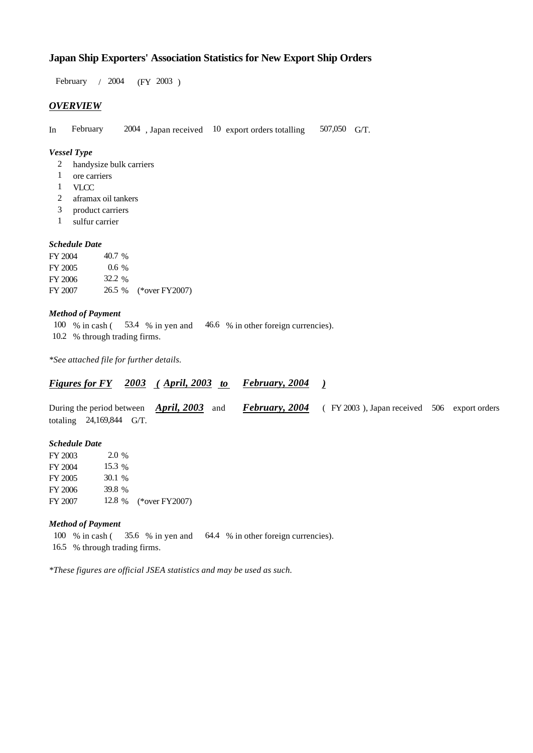# **Japan Ship Exporters' Association Statistics for New Export Ship Orders**

 $/ 2004$  (FY 2003) February / 2004

# *OVERVIEW*

In February 2004, Japan received 10 export orders totalling 507,050 G/T. 507,050 G/T.

## *Vessel Type*

- handysize bulk carriers 2
- ore carriers 1
- VLCC 1
- aframax oil tankers 2
- product carriers 3
- sulfur carrier 1

### *Schedule Date*

| FY 2004 | 40.7 %  |                       |
|---------|---------|-----------------------|
| FY 2005 | $0.6\%$ |                       |
| FY 2006 | 32.2 %  |                       |
| FY 2007 |         | 26.5 % (*over FY2007) |

#### *Method of Payment*

100 % in cash (53.4 % in yen and 46.6 % in other foreign currencies). 10.2 % through trading firms.

*\*See attached file for further details.*

#### *<u>Figures for FY 2003 (April, 2003 to February, 2004)</u> February, 2004*

During the period between *April, 2003* and *February, 2004* (FY 2003), Japan received 506 export orders totaling  $24,169,844$  G/T. *February, 2004* (FY 2003), Japan received 506 export orders

### *Schedule Date*

FY 2003 FY 2004 FY 2005 FY 2006 FY 2007 12.8 % (\*over FY 2007) 2.0 % 15.3 % 30.1 39.8

#### *Method of Payment*

100 % in cash (35.6 % in yen and 64.4 % in other foreign currencies). % through trading firms. 16.5

*\*These figures are official JSEA statistics and may be used as such.*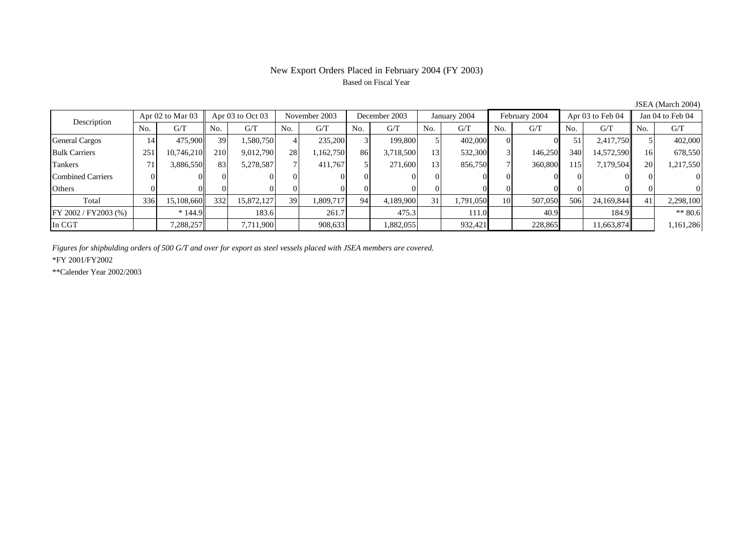# New Export Orders Placed in February 2004 (FY 2003) Based on Fiscal Year

| Apr 02 to Mar 03<br>Description |     | Apr 03 to Oct 03 |                    | November 2003 |     | December 2003 |     | January 2004 |     | February 2004 |     | Apr 03 to Feb 04 |      | Jan 04 to Feb 04 |           |           |
|---------------------------------|-----|------------------|--------------------|---------------|-----|---------------|-----|--------------|-----|---------------|-----|------------------|------|------------------|-----------|-----------|
|                                 | No. | G/T              | No.                | G/T           | No. | G/T           | No. | G/T          | No. | G/T           | No. | G/T              | No.  | G/T              | No.       | G/T       |
| <b>General Cargos</b>           | 14  | 475,900          | 39                 | 1,580,750     |     | 235,200       |     | 199,800      |     | 402,000       |     |                  | 51   | 2,417,750        |           | 402,000   |
| <b>Bulk Carriers</b>            | 251 | 10,746,210       | 210 <sup> </sup>   | 9,012,790     | 28  | 1,162,750     | 86  | 3,718,500    | 13  | 532,300       |     | 146,250          | 340  | 14,572,590       | <b>16</b> | 678,550   |
| Tankers                         | 71  | 3,886,550        | 83                 | 5,278,587     |     | 411.767       |     | 271,600      | 13  | 856,750       |     | 360,800          | 1151 | 7,179,504        | <b>20</b> | 1,217,550 |
| Combined Carriers               |     |                  | $^{\prime \prime}$ |               |     |               |     |              |     |               |     |                  |      |                  |           |           |
| Others                          |     |                  |                    |               |     |               |     |              |     |               |     |                  |      |                  |           |           |
| Total                           | 336 | 15,108,660       | 332                | 15,872,127    | 39  | 1,809,717     | 94  | 4,189,900    |     | 1,791,050     | 10  | 507,050          | 506  | 24.169.844       | 41        | 2,298,100 |
| FY 2002 / FY2003 (%)            |     | $*144.9$         |                    | 183.6         |     | 261.7         |     | 475.3        |     | 111.0         |     | 40.9             |      | 184.9            |           | $** 80.6$ |
| In CGT                          |     | 7,288,257        |                    | 7.711.900     |     | 908,633       |     | .882,055     |     | 932,421       |     | 228,865          |      | 11,663,874       |           | 1,161,286 |

JSEA (March 2004)

*Figures for shipbulding orders of 500 G/T and over for export as steel vessels placed with JSEA members are covered.*

\*FY 2001/FY2002

\*\*Calender Year 2002/2003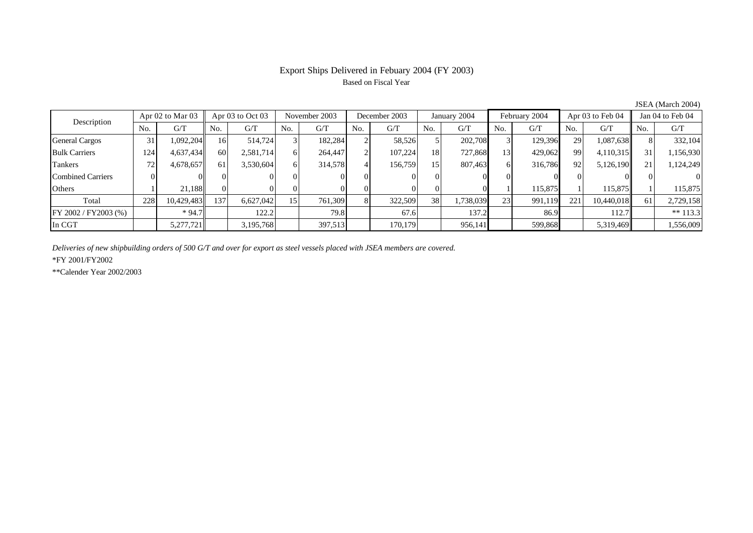# Export Ships Delivered in Febuary 2004 (FY 2003) Based on Fiscal Year

| Description              | Apr $02$ to Mar $03$ |            | Apr 03 to Oct 03 |           | November 2003 |         | December 2003 |         | January 2004    |           | February 2004 |         | Apr 03 to Feb 04 |            | Jan 04 to Feb 04 |            |
|--------------------------|----------------------|------------|------------------|-----------|---------------|---------|---------------|---------|-----------------|-----------|---------------|---------|------------------|------------|------------------|------------|
|                          | No.                  | G/T        | No.              | G/T       | No.           | G/T     | No.           | G/T     | No.             | G/T       | No.           | G/T     | No.              | G/T        | No.              | G/T        |
| <b>General Cargos</b>    | 31                   | 1,092,204  | 16               | 514,724   |               | 182,284 |               | 58,526  |                 | 202,708   |               | 129,396 | 29               | 1,087,638  |                  | 332,104    |
| <b>Bulk Carriers</b>     | 124                  | 4,637,434  | 60               | 2,581,714 | 61            | 264,447 |               | 107,224 | 18              | 727,868   | 13            | 429,062 | 99               | 4,110,315  | 31               | 1,156,930  |
| Tankers                  | 72                   | 4,678,657  | 61               | 3,530,604 | 61            | 314,578 |               | 156,759 | 15              | 807,463   | 61            | 316,786 | 92               | 5,126,190  | 21               | 1,124,249  |
| <b>Combined Carriers</b> |                      |            |                  |           |               |         |               |         |                 |           |               |         |                  |            |                  | $\Omega$   |
| Others                   |                      | 21.188     | ΩI               |           |               |         |               |         |                 |           |               | 115,875 |                  | 115,875    |                  | 115,875    |
| Total                    | 228                  | 10,429,483 | 137              | 6,627,042 | 151           | 761,309 | $\mathbf{R}$  | 322,509 | 38 <sub>1</sub> | 1,738,039 | 23            | 991,119 | 221              | 10,440,018 | 61               | 2,729,158  |
| FY 2002 / FY2003 (%)     |                      | $*94.7$    |                  | 122.2     |               | 79.8    |               | 67.6    |                 | 137.2     |               | 86.9    |                  | 112.7      |                  | ** $113.3$ |
| In CGT                   |                      | 5,277,721  |                  | 3,195,768 |               | 397,513 |               | 170.179 |                 | 956,141   |               | 599,868 |                  | 5,319,469  |                  | 1,556,009  |

JSEA (March 2004)

*Deliveries of new shipbuilding orders of 500 G/T and over for export as steel vessels placed with JSEA members are covered.*

\*FY 2001/FY2002

\*\*Calender Year 2002/2003